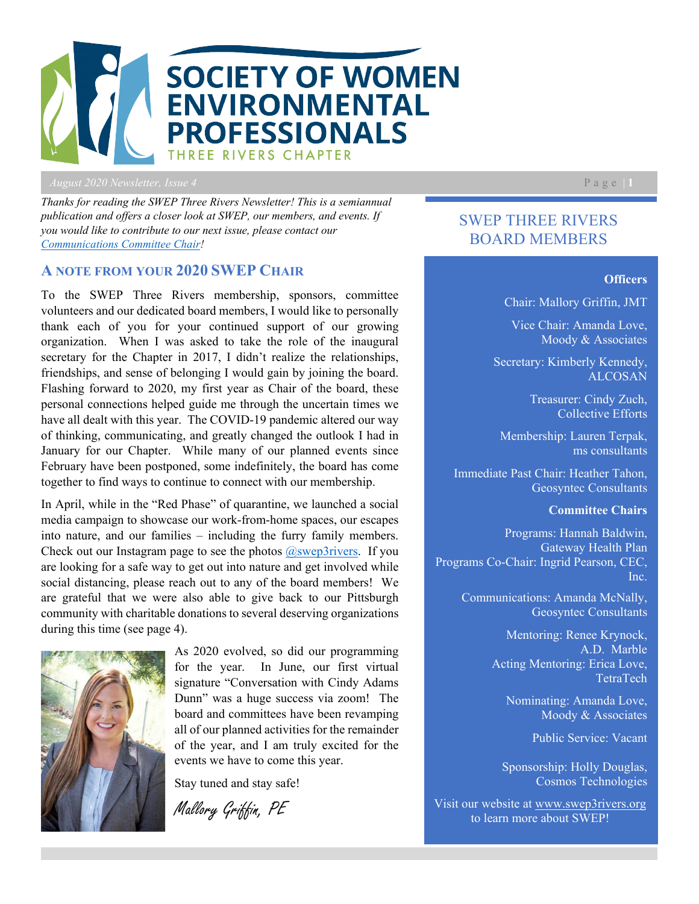

*August* 2020 *Newsletter, Issue 4* Page | 1

*Thanks for reading the SWEP Three Rivers Newsletter! This is a semiannual publication and offers a closer look at SWEP, our members, and events. If you would like to contribute to our next issue, please contact our [Communications Committee Chair!](https://swep3rivers.org/page-18082)* 

### **A NOTE FROM YOUR 2020 SWEP CHAIR**

To the SWEP Three Rivers membership, sponsors, committee volunteers and our dedicated board members, I would like to personally thank each of you for your continued support of our growing organization. When I was asked to take the role of the inaugural secretary for the Chapter in 2017, I didn't realize the relationships, friendships, and sense of belonging I would gain by joining the board. Flashing forward to 2020, my first year as Chair of the board, these personal connections helped guide me through the uncertain times we have all dealt with this year. The COVID-19 pandemic altered our way of thinking, communicating, and greatly changed the outlook I had in January for our Chapter. While many of our planned events since February have been postponed, some indefinitely, the board has come together to find ways to continue to connect with our membership.

In April, while in the "Red Phase" of quarantine, we launched a social media campaign to showcase our work-from-home spaces, our escapes into nature, and our families – including the furry family members. Check out our Instagram page to see the photos  $\omega$ swep3rivers. If you are looking for a safe way to get out into nature and get involved while social distancing, please reach out to any of the board members! We are grateful that we were also able to give back to our Pittsburgh community with charitable donations to several deserving organizations during this time (see page 4).



As 2020 evolved, so did our programming for the year. In June, our first virtual signature "Conversation with Cindy Adams Dunn" was a huge success via zoom! The board and committees have been revamping all of our planned activities for the remainder of the year, and I am truly excited for the events we have to come this year.

Stay tuned and stay safe!

Mallory Griffin, PE

SWEP THREE RIVERS BOARD MEMBERS

#### **Officers**

Chair: Mallory Griffin, JMT

Vice Chair: Amanda Love, Moody & Associates

Secretary: Kimberly Kennedy, ALCOSAN

> Treasurer: Cindy Zuch, Collective Efforts

Membership: Lauren Terpak, ms consultants

Immediate Past Chair: Heather Tahon, Geosyntec Consultants

#### **Committee Chairs**

Programs: Hannah Baldwin, Gateway Health Plan Programs Co-Chair: Ingrid Pearson, CEC, Inc.

> Communications: Amanda McNally, Geosyntec Consultants

> > Mentoring: Renee Krynock, A.D. Marble Acting Mentoring: Erica Love, TetraTech

Nominating: Amanda Love, Moody & Associates

Public Service: Vacant

Sponsorship: Holly Douglas, Cosmos Technologies

Visit our website at [www.swep3rivers.org](http://www.swep3rivers.org/) to learn more about SWEP!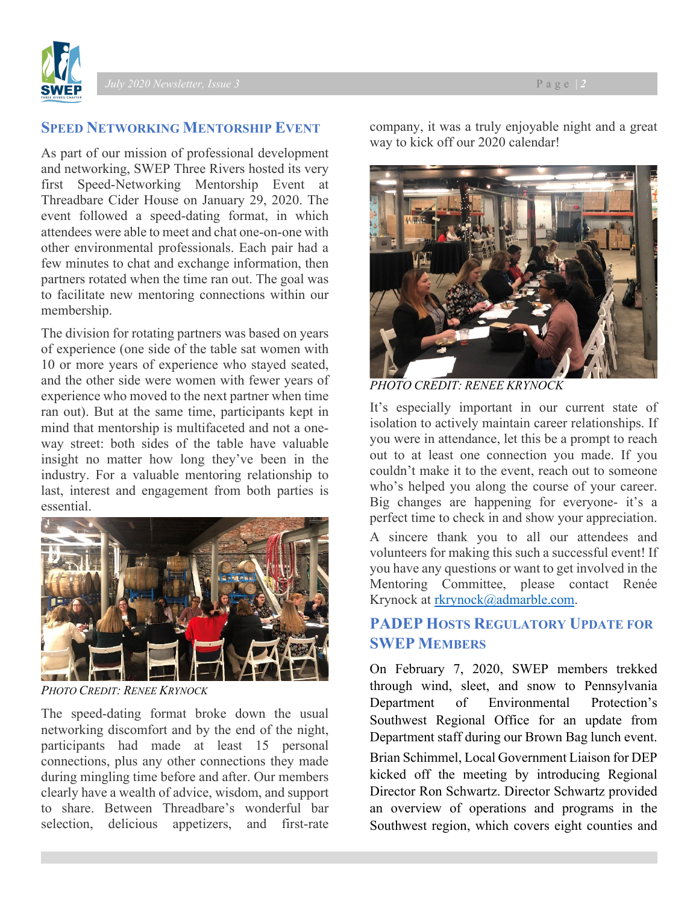

## **SPEED NETWORKING MENTORSHIP EVENT**

As part of our mission of professional development and networking, SWEP Three Rivers hosted its very first Speed-Networking Mentorship Event at Threadbare Cider House on January 29, 2020. The event followed a speed-dating format, in which attendees were able to meet and chat one-on-one with other environmental professionals. Each pair had a few minutes to chat and exchange information, then partners rotated when the time ran out. The goal was to facilitate new mentoring connections within our membership.

The division for rotating partners was based on years of experience (one side of the table sat women with 10 or more years of experience who stayed seated, and the other side were women with fewer years of experience who moved to the next partner when time ran out). But at the same time, participants kept in mind that mentorship is multifaceted and not a oneway street: both sides of the table have valuable insight no matter how long they've been in the industry. For a valuable mentoring relationship to last, interest and engagement from both parties is essential.



*PHOTO CREDIT: RENEE KRYNOCK*

The speed-dating format broke down the usual networking discomfort and by the end of the night, participants had made at least 15 personal connections, plus any other connections they made during mingling time before and after. Our members clearly have a wealth of advice, wisdom, and support to share. Between Threadbare's wonderful bar selection, delicious appetizers, and first-rate

company, it was a truly enjoyable night and a great way to kick off our 2020 calendar!



*PHOTO CREDIT: RENEE KRYNOCK*

It's especially important in our current state of isolation to actively maintain career relationships. If you were in attendance, let this be a prompt to reach out to at least one connection you made. If you couldn't make it to the event, reach out to someone who's helped you along the course of your career. Big changes are happening for everyone- it's a perfect time to check in and show your appreciation. A sincere thank you to all our attendees and volunteers for making this such a successful event! If you have any questions or want to get involved in the Mentoring Committee, please contact Renée Krynock at [rkrynock@admarble.com.](mailto:rkrynock@admarble.com)

# **PADEP HOSTS REGULATORY UPDATE FOR SWEP MEMBERS**

On February 7, 2020, SWEP members trekked through wind, sleet, and snow to Pennsylvania Department of Environmental Protection's Southwest Regional Office for an update from Department staff during our Brown Bag lunch event. Brian Schimmel, Local Government Liaison for DEP kicked off the meeting by introducing Regional Director Ron Schwartz. Director Schwartz provided an overview of operations and programs in the Southwest region, which covers eight counties and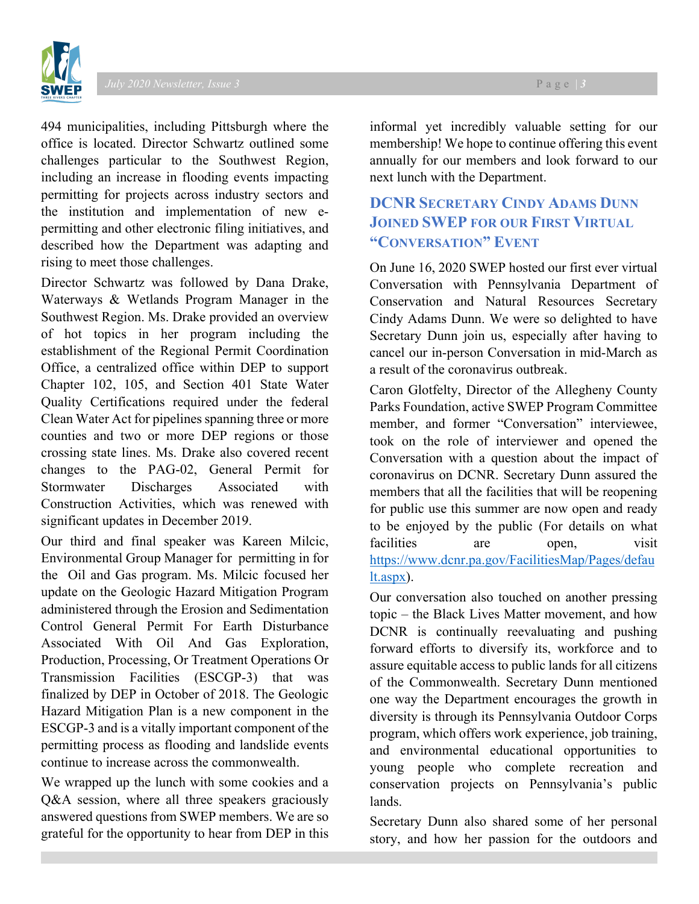494 municipalities, including Pittsburgh where the office is located. Director Schwartz outlined some challenges particular to the Southwest Region, including an increase in flooding events impacting permitting for projects across industry sectors and the institution and implementation of new epermitting and other electronic filing initiatives, and described how the Department was adapting and rising to meet those challenges.

Director Schwartz was followed by Dana Drake, Waterways & Wetlands Program Manager in the Southwest Region. Ms. Drake provided an overview of hot topics in her program including the establishment of the Regional Permit Coordination Office, a centralized office within DEP to support Chapter 102, 105, and Section 401 State Water Quality Certifications required under the federal Clean Water Act for pipelines spanning three or more counties and two or more DEP regions or those crossing state lines. Ms. Drake also covered recent changes to the PAG-02, General Permit for Stormwater Discharges Associated with Construction Activities, which was renewed with significant updates in December 2019.

Our third and final speaker was Kareen Milcic, Environmental Group Manager for permitting in for the Oil and Gas program. Ms. Milcic focused her update on the Geologic Hazard Mitigation Program administered through the Erosion and Sedimentation Control General Permit For Earth Disturbance Associated With Oil And Gas Exploration, Production, Processing, Or Treatment Operations Or Transmission Facilities (ESCGP-3) that was finalized by DEP in October of 2018. The Geologic Hazard Mitigation Plan is a new component in the ESCGP-3 and is a vitally important component of the permitting process as flooding and landslide events continue to increase across the commonwealth.

We wrapped up the lunch with some cookies and a Q&A session, where all three speakers graciously answered questions from SWEP members. We are so grateful for the opportunity to hear from DEP in this

informal yet incredibly valuable setting for our membership! We hope to continue offering this event annually for our members and look forward to our next lunch with the Department.

# **DCNR SECRETARY CINDY ADAMS DUNN JOINED SWEP FOR OUR FIRST VIRTUAL "CONVERSATION" EVENT**

On June 16, 2020 SWEP hosted our first ever virtual Conversation with Pennsylvania Department of Conservation and Natural Resources Secretary Cindy Adams Dunn. We were so delighted to have Secretary Dunn join us, especially after having to cancel our in-person Conversation in mid-March as a result of the coronavirus outbreak.

Caron Glotfelty, Director of the Allegheny County Parks Foundation, active SWEP Program Committee member, and former "Conversation" interviewee, took on the role of interviewer and opened the Conversation with a question about the impact of coronavirus on DCNR. Secretary Dunn assured the members that all the facilities that will be reopening for public use this summer are now open and ready to be enjoyed by the public (For details on what facilities are open, visit [https://www.dcnr.pa.gov/FacilitiesMap/Pages/defau](https://www.dcnr.pa.gov/FacilitiesMap/Pages/default.aspx) [lt.aspx\)](https://www.dcnr.pa.gov/FacilitiesMap/Pages/default.aspx).

Our conversation also touched on another pressing topic – the Black Lives Matter movement, and how DCNR is continually reevaluating and pushing forward efforts to diversify its, workforce and to assure equitable access to public lands for all citizens of the Commonwealth. Secretary Dunn mentioned one way the Department encourages the growth in diversity is through its Pennsylvania Outdoor Corps program, which offers work experience, job training, and environmental educational opportunities to young people who complete recreation and conservation projects on Pennsylvania's public lands.

Secretary Dunn also shared some of her personal story, and how her passion for the outdoors and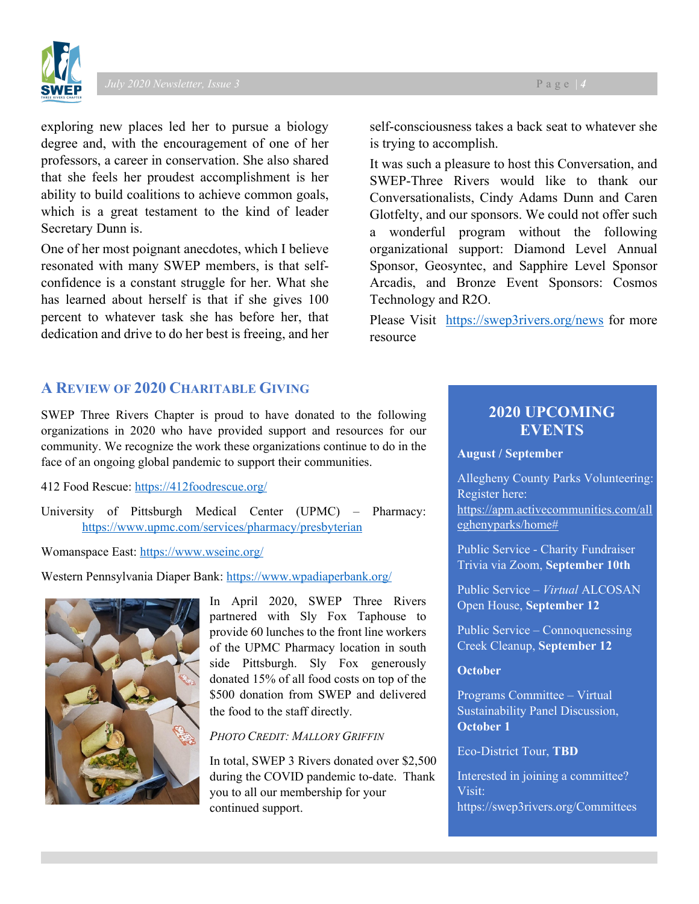

exploring new places led her to pursue a biology degree and, with the encouragement of one of her professors, a career in conservation. She also shared that she feels her proudest accomplishment is her ability to build coalitions to achieve common goals, which is a great testament to the kind of leader Secretary Dunn is.

One of her most poignant anecdotes, which I believe resonated with many SWEP members, is that selfconfidence is a constant struggle for her. What she has learned about herself is that if she gives 100 percent to whatever task she has before her, that dedication and drive to do her best is freeing, and her

## **A REVIEW OF 2020 CHARITABLE GIVING**

SWEP Three Rivers Chapter is proud to have donated to the following organizations in 2020 who have provided support and resources for our community. We recognize the work these organizations continue to do in the face of an ongoing global pandemic to support their communities.

412 Food Rescue:<https://412foodrescue.org/>

University of Pittsburgh Medical Center (UPMC) – Pharmacy: <https://www.upmc.com/services/pharmacy/presbyterian>

Womanspace East:<https://www.wseinc.org/>

Western Pennsylvania Diaper Bank:<https://www.wpadiaperbank.org/>



In April 2020, SWEP Three Rivers partnered with Sly Fox Taphouse to provide 60 lunches to the front line workers of the UPMC Pharmacy location in south side Pittsburgh. Sly Fox generously donated 15% of all food costs on top of the \$500 donation from SWEP and delivered the food to the staff directly.

#### *PHOTO CREDIT: MALLORY GRIFFIN*

In total, SWEP 3 Rivers donated over \$2,500 during the COVID pandemic to-date. Thank you to all our membership for your continued support.

self-consciousness takes a back seat to whatever she is trying to accomplish.

It was such a pleasure to host this Conversation, and SWEP-Three Rivers would like to thank our Conversationalists, Cindy Adams Dunn and Caren Glotfelty, and our sponsors. We could not offer such a wonderful program without the following organizational support: Diamond Level Annual Sponsor, Geosyntec, and Sapphire Level Sponsor Arcadis, and Bronze Event Sponsors: Cosmos Technology and R2O.

Please Visit <https://swep3rivers.org/news> for more resource

# **2020 UPCOMING EVENTS**

#### **August / September**

Allegheny County Parks Volunteering: Register here: [https://apm.activecommunities.com/all](https://apm.activecommunities.com/alleghenyparks/home) [eghenyparks/home#](https://apm.activecommunities.com/alleghenyparks/home)

Public Service - Charity Fundraiser Trivia via Zoom, **September 10th**

Public Service – *Virtual* ALCOSAN Open House, **September 12**

Public Service – Connoquenessing Creek Cleanup, **September 12**

#### **October**

Programs Committee – Virtual Sustainability Panel Discussion, **October 1**

#### Eco-District Tour, **TBD**

Interested in joining a committee? Visit: https://swep3rivers.org/Committees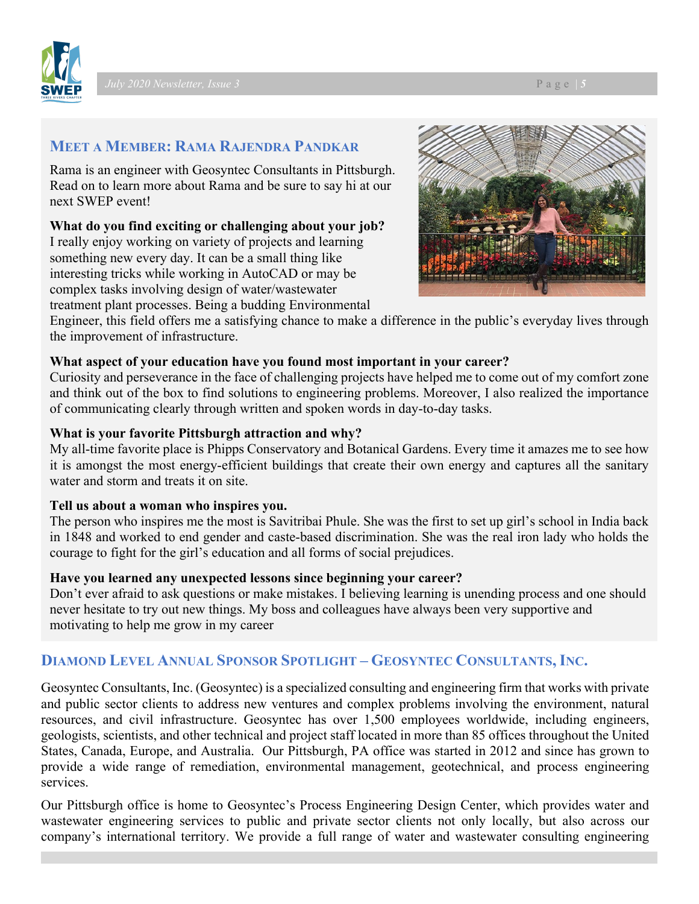

# **MEET A MEMBER: RAMA RAJENDRA PANDKAR**

Rama is an engineer with Geosyntec Consultants in Pittsburgh. Read on to learn more about Rama and be sure to say hi at our next SWEP event!

## **What do you find exciting or challenging about your job?**

I really enjoy working on variety of projects and learning something new every day. It can be a small thing like interesting tricks while working in AutoCAD or may be complex tasks involving design of water/wastewater treatment plant processes. Being a budding Environmental



Engineer, this field offers me a satisfying chance to make a difference in the public's everyday lives through the improvement of infrastructure.

# **What aspect of your education have you found most important in your career?**

Curiosity and perseverance in the face of challenging projects have helped me to come out of my comfort zone and think out of the box to find solutions to engineering problems. Moreover, I also realized the importance of communicating clearly through written and spoken words in day-to-day tasks.

# **What is your favorite Pittsburgh attraction and why?**

My all-time favorite place is Phipps Conservatory and Botanical Gardens. Every time it amazes me to see how it is amongst the most energy-efficient buildings that create their own energy and captures all the sanitary water and storm and treats it on site.

## **Tell us about a woman who inspires you.**

The person who inspires me the most is Savitribai Phule. She was the first to set up girl's school in India back in 1848 and worked to end gender and caste-based discrimination. She was the real iron lady who holds the courage to fight for the girl's education and all forms of social prejudices.

## **Have you learned any unexpected lessons since beginning your career?**

Don't ever afraid to ask questions or make mistakes. I believing learning is unending process and one should never hesitate to try out new things. My boss and colleagues have always been very supportive and motivating to help me grow in my career

# **DIAMOND LEVEL ANNUAL SPONSOR SPOTLIGHT – GEOSYNTEC CONSULTANTS, INC.**

Geosyntec Consultants, Inc. (Geosyntec) is a specialized consulting and engineering firm that works with private and public sector clients to address new ventures and complex problems involving the environment, natural resources, and civil infrastructure. Geosyntec has over 1,500 employees worldwide, including engineers, geologists, scientists, and other technical and project staff located in more than 85 offices throughout the United States, Canada, Europe, and Australia. Our Pittsburgh, PA office was started in 2012 and since has grown to provide a wide range of remediation, environmental management, geotechnical, and process engineering services.

Our Pittsburgh office is home to Geosyntec's Process Engineering Design Center, which provides water and wastewater engineering services to public and private sector clients not only locally, but also across our company's international territory. We provide a full range of water and wastewater consulting engineering